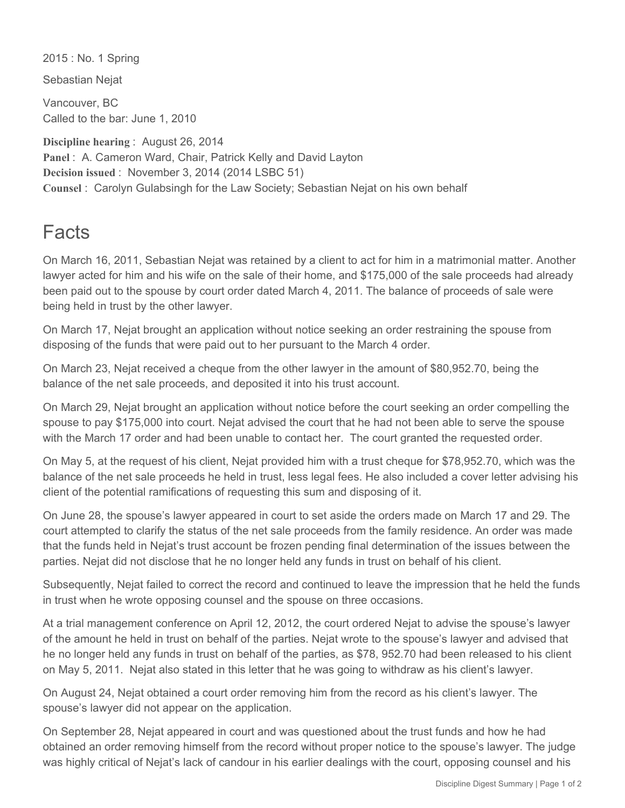2015 : No. 1 Spring

Sebastian Nejat

Vancouver, BC Called to the bar: June 1, 2010

**Discipline hearing** : August 26, 2014 **Panel** : A. Cameron Ward, Chair, Patrick Kelly and David Layton **Decision issued** : November 3, 2014 (2014 LSBC 51) **Counsel** : Carolyn Gulabsingh for the Law Society; Sebastian Nejat on his own behalf

## **Facts**

On March 16, 2011, Sebastian Nejat was retained by a client to act for him in a matrimonial matter. Another lawyer acted for him and his wife on the sale of their home, and \$175,000 of the sale proceeds had already been paid out to the spouse by court order dated March 4, 2011. The balance of proceeds of sale were being held in trust by the other lawyer.

On March 17, Nejat brought an application without notice seeking an order restraining the spouse from disposing of the funds that were paid out to her pursuant to the March 4 order.

On March 23, Nejat received a cheque from the other lawyer in the amount of \$80,952.70, being the balance of the net sale proceeds, and deposited it into his trust account.

On March 29, Nejat brought an application without notice before the court seeking an order compelling the spouse to pay \$175,000 into court. Nejat advised the court that he had not been able to serve the spouse with the March 17 order and had been unable to contact her. The court granted the requested order.

On May 5, at the request of his client, Nejat provided him with a trust cheque for \$78,952.70, which was the balance of the net sale proceeds he held in trust, less legal fees. He also included a cover letter advising his client of the potential ramifications of requesting this sum and disposing of it.

On June 28, the spouse's lawyer appeared in court to set aside the orders made on March 17 and 29. The court attempted to clarify the status of the net sale proceeds from the family residence. An order was made that the funds held in Nejat's trust account be frozen pending final determination of the issues between the parties. Nejat did not disclose that he no longer held any funds in trust on behalf of his client.

Subsequently, Nejat failed to correct the record and continued to leave the impression that he held the funds in trust when he wrote opposing counsel and the spouse on three occasions.

At a trial management conference on April 12, 2012, the court ordered Nejat to advise the spouse's lawyer of the amount he held in trust on behalf of the parties. Nejat wrote to the spouse's lawyer and advised that he no longer held any funds in trust on behalf of the parties, as \$78, 952.70 had been released to his client on May 5, 2011. Nejat also stated in this letter that he was going to withdraw as his client's lawyer.

On August 24, Nejat obtained a court order removing him from the record as his client's lawyer. The spouse's lawyer did not appear on the application.

On September 28, Nejat appeared in court and was questioned about the trust funds and how he had obtained an order removing himself from the record without proper notice to the spouse's lawyer. The judge was highly critical of Nejat's lack of candour in his earlier dealings with the court, opposing counsel and his